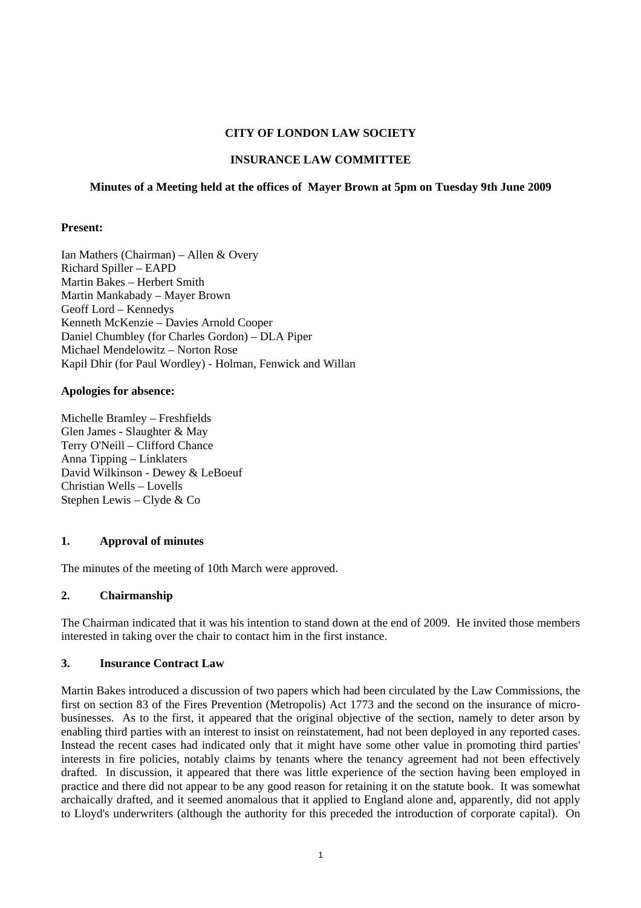## **CITY OF LONDON LAW SOCIETY**

## **INSURANCE LAW COMMITTEE**

## **Minutes of a Meeting held at the offices of Mayer Brown at 5pm on Tuesday 9th June 2009**

## **Present:**

Ian Mathers (Chairman) – Allen & Overy Richard Spiller – EAPD Martin Bakes – Herbert Smith Martin Mankabady – Mayer Brown Geoff Lord – Kennedys Kenneth McKenzie – Davies Arnold Cooper Daniel Chumbley (for Charles Gordon) – DLA Piper Michael Mendelowitz – Norton Rose Kapil Dhir (for Paul Wordley) - Holman, Fenwick and Willan

## **Apologies for absence:**

Michelle Bramley – Freshfields Glen James - Slaughter & May Terry O'Neill – Clifford Chance Anna Tipping – Linklaters David Wilkinson - Dewey & LeBoeuf Christian Wells – Lovells Stephen Lewis – Clyde & Co

# **1. Approval of minutes**

The minutes of the meeting of 10th March were approved.

# **2. Chairmanship**

The Chairman indicated that it was his intention to stand down at the end of 2009. He invited those members interested in taking over the chair to contact him in the first instance.

#### **3. Insurance Contract Law**

Martin Bakes introduced a discussion of two papers which had been circulated by the Law Commissions, the first on section 83 of the Fires Prevention (Metropolis) Act 1773 and the second on the insurance of microbusinesses. As to the first, it appeared that the original objective of the section, namely to deter arson by enabling third parties with an interest to insist on reinstatement, had not been deployed in any reported cases. Instead the recent cases had indicated only that it might have some other value in promoting third parties' interests in fire policies, notably claims by tenants where the tenancy agreement had not been effectively drafted. In discussion, it appeared that there was little experience of the section having been employed in practice and there did not appear to be any good reason for retaining it on the statute book. It was somewhat archaically drafted, and it seemed anomalous that it applied to England alone and, apparently, did not apply to Lloyd's underwriters (although the authority for this preceded the introduction of corporate capital). On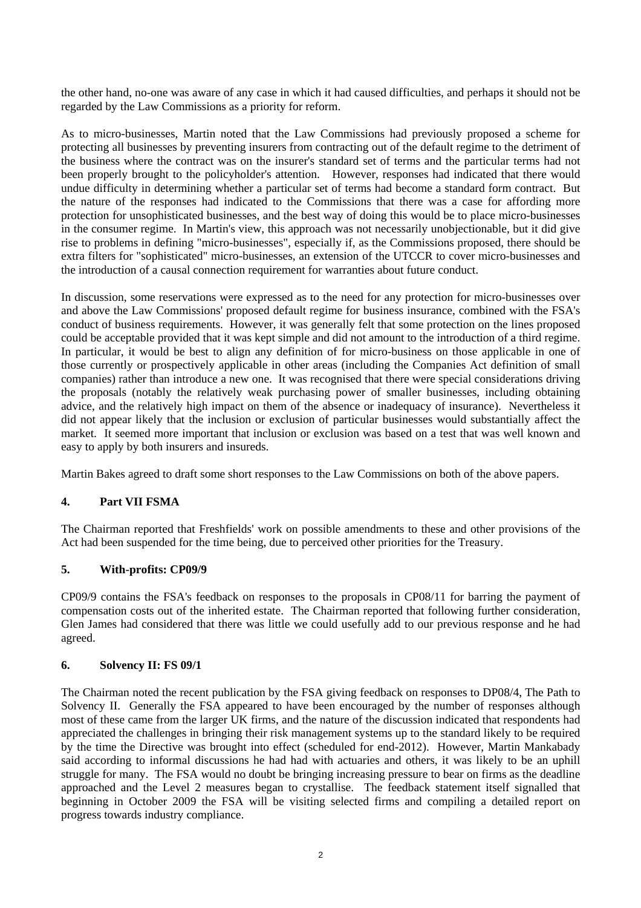the other hand, no-one was aware of any case in which it had caused difficulties, and perhaps it should not be regarded by the Law Commissions as a priority for reform.

As to micro-businesses, Martin noted that the Law Commissions had previously proposed a scheme for protecting all businesses by preventing insurers from contracting out of the default regime to the detriment of the business where the contract was on the insurer's standard set of terms and the particular terms had not been properly brought to the policyholder's attention. However, responses had indicated that there would undue difficulty in determining whether a particular set of terms had become a standard form contract. But the nature of the responses had indicated to the Commissions that there was a case for affording more protection for unsophisticated businesses, and the best way of doing this would be to place micro-businesses in the consumer regime. In Martin's view, this approach was not necessarily unobjectionable, but it did give rise to problems in defining "micro-businesses", especially if, as the Commissions proposed, there should be extra filters for "sophisticated" micro-businesses, an extension of the UTCCR to cover micro-businesses and the introduction of a causal connection requirement for warranties about future conduct.

In discussion, some reservations were expressed as to the need for any protection for micro-businesses over and above the Law Commissions' proposed default regime for business insurance, combined with the FSA's conduct of business requirements. However, it was generally felt that some protection on the lines proposed could be acceptable provided that it was kept simple and did not amount to the introduction of a third regime. In particular, it would be best to align any definition of for micro-business on those applicable in one of those currently or prospectively applicable in other areas (including the Companies Act definition of small companies) rather than introduce a new one. It was recognised that there were special considerations driving the proposals (notably the relatively weak purchasing power of smaller businesses, including obtaining advice, and the relatively high impact on them of the absence or inadequacy of insurance). Nevertheless it did not appear likely that the inclusion or exclusion of particular businesses would substantially affect the market. It seemed more important that inclusion or exclusion was based on a test that was well known and easy to apply by both insurers and insureds.

Martin Bakes agreed to draft some short responses to the Law Commissions on both of the above papers.

## **4. Part VII FSMA**

The Chairman reported that Freshfields' work on possible amendments to these and other provisions of the Act had been suspended for the time being, due to perceived other priorities for the Treasury.

#### **5. With-profits: CP09/9**

CP09/9 contains the FSA's feedback on responses to the proposals in CP08/11 for barring the payment of compensation costs out of the inherited estate. The Chairman reported that following further consideration, Glen James had considered that there was little we could usefully add to our previous response and he had agreed.

#### **6. Solvency II: FS 09/1**

The Chairman noted the recent publication by the FSA giving feedback on responses to DP08/4, The Path to Solvency II. Generally the FSA appeared to have been encouraged by the number of responses although most of these came from the larger UK firms, and the nature of the discussion indicated that respondents had appreciated the challenges in bringing their risk management systems up to the standard likely to be required by the time the Directive was brought into effect (scheduled for end-2012). However, Martin Mankabady said according to informal discussions he had had with actuaries and others, it was likely to be an uphill struggle for many. The FSA would no doubt be bringing increasing pressure to bear on firms as the deadline approached and the Level 2 measures began to crystallise. The feedback statement itself signalled that beginning in October 2009 the FSA will be visiting selected firms and compiling a detailed report on progress towards industry compliance.